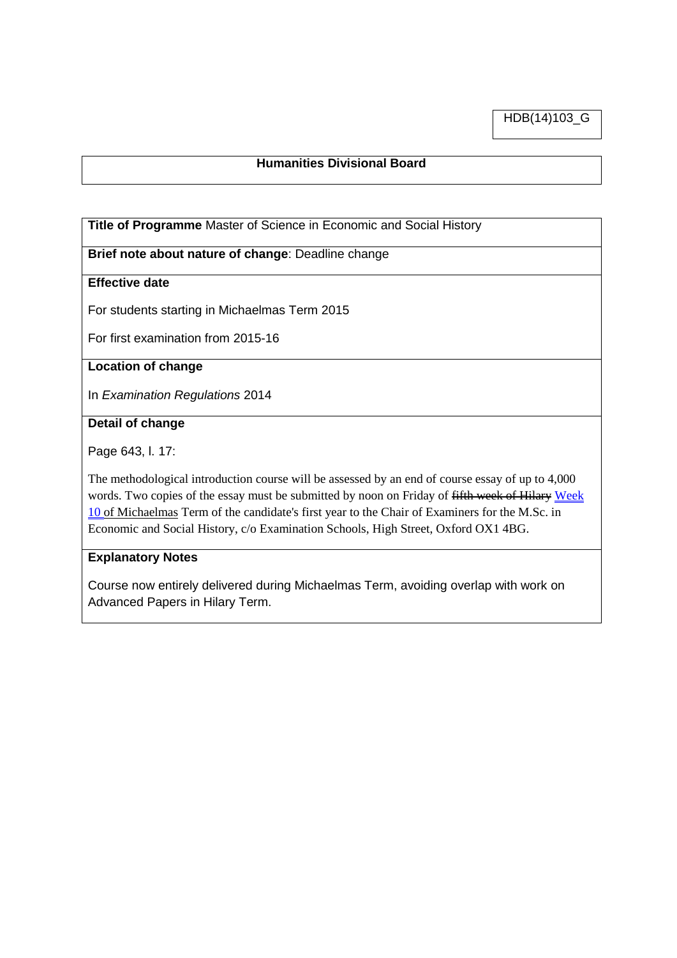HDB(14)103\_G

# **Humanities Divisional Board**

**Title of Programme** Master of Science in Economic and Social History

**Brief note about nature of change**: Deadline change

# **Effective date**

For students starting in Michaelmas Term 2015

For first examination from 2015-16

### **Location of change**

In *Examination Regulations* 2014

## **Detail of change**

Page 643, l. 17:

The methodological introduction course will be assessed by an end of course essay of up to 4,000 words. Two copies of the essay must be submitted by noon on Friday of fifth week of Hilary Week 10 of Michaelmas Term of the candidate's first year to the Chair of Examiners for the M.Sc. in Economic and Social History, c/o Examination Schools, High Street, Oxford OX1 4BG.

#### **Explanatory Notes**

Course now entirely delivered during Michaelmas Term, avoiding overlap with work on Advanced Papers in Hilary Term.